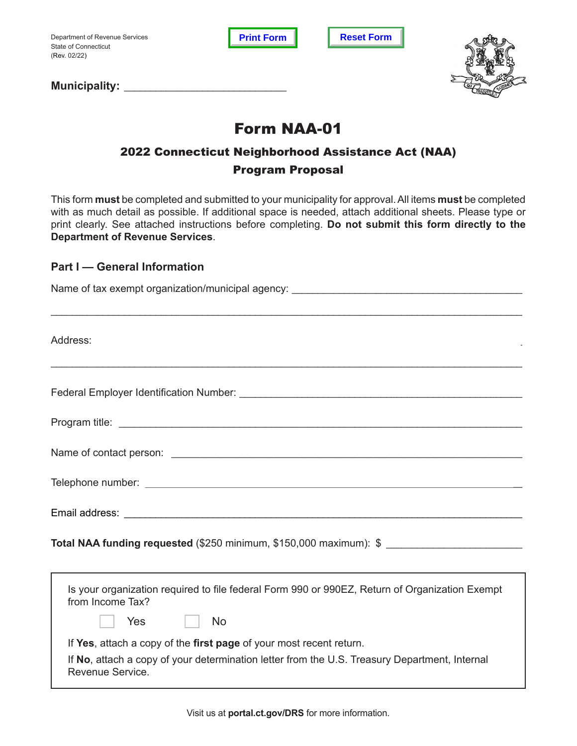Department of Revenue Services State of Connecticut (Rev. 02/22)

**Print Form Reset Form** 



Municipality: **Window Strategier Strategier Strategier Strategier Strategier Strategier Strategier Strategier Strategier Strategier Strategier Strategier Strategier Strategier Strategier Strategier Strategier Strategier St** 

# Form NAA-01

## 2022 Connecticut Neighborhood Assistance Act (NAA) Program Proposal

This form **must** be completed and submitted to your municipality for approval. All items **must** be completed with as much detail as possible. If additional space is needed, attach additional sheets. Please type or print clearly. See attached instructions before completing. **Do not submit this form directly to the Department of Revenue Services**.

## **Part I — General Information**

| Address:                                                                                                           |
|--------------------------------------------------------------------------------------------------------------------|
|                                                                                                                    |
|                                                                                                                    |
|                                                                                                                    |
|                                                                                                                    |
|                                                                                                                    |
| Total NAA funding requested (\$250 minimum, \$150,000 maximum): \$ ________________________                        |
| Is your organization required to file federal Form 990 or 990EZ, Return of Organization Exempt<br>from Income Tax? |

If **Yes**, attach a copy of the **first page** of your most recent return.

Yes | No

If **No**, attach a copy of your determination letter from the U.S. Treasury Department, Internal Revenue Service.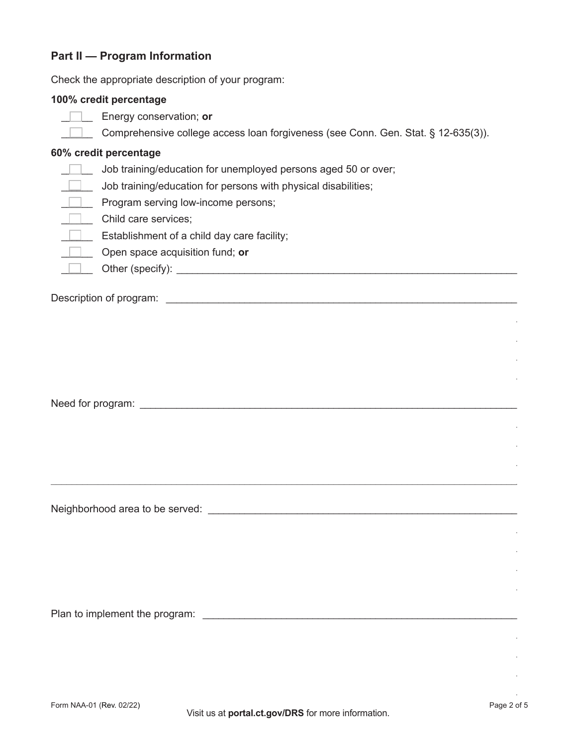## **Part II - Program Information**

Check the appropriate description of your program:

#### 100% credit percentage

- $\Box$  Energy conservation; or
	- Comprehensive college access loan forgiveness (see Conn. Gen. Stat. § 12-635(3)).

#### 60% credit percentage

- Job training/education for unemployed persons aged 50 or over;
- $\Box$  Job training/education for persons with physical disabilities;
- Program serving low-income persons;
- Child care services;
- $\Box$  Establishment of a child day care facility;
	- Open space acquisition fund; or
	-

Need for program: Need for program:

Neighborhood area to be served:<br>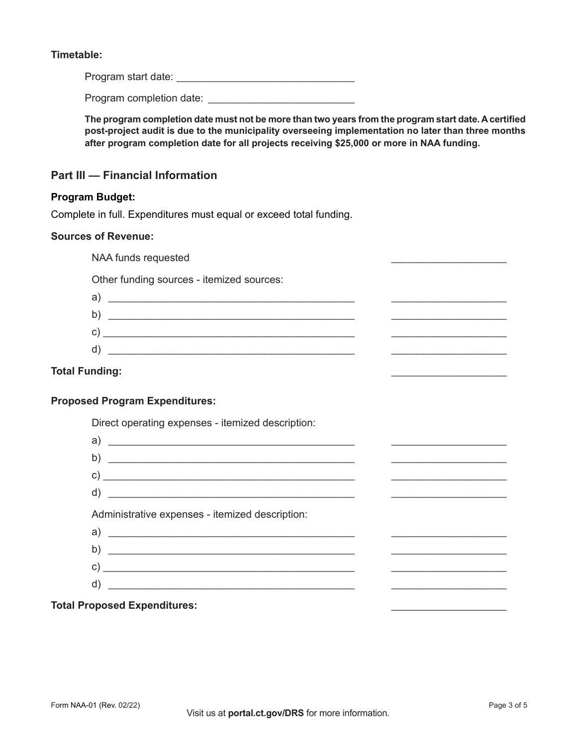#### **Timetable:**

Program start date: \_\_\_\_\_\_\_\_\_\_\_\_\_\_\_\_\_\_\_\_\_\_\_\_\_\_\_\_\_\_\_\_\_\_

Program completion date: \_\_\_\_\_\_\_\_\_\_\_\_\_\_\_\_\_\_\_\_\_\_\_\_\_\_\_\_

**The program completion date must not be more than two years from the program start date. A certified post-project audit is due to the municipality overseeing implementation no later than three months after program completion date for all projects receiving \$25,000 or more in NAA funding.** 

### **Part III — Financial Information**

#### **Program Budget:**

Complete in full. Expenditures must equal or exceed total funding.

#### **Sources of Revenue:**

NAA funds requested

Other funding sources - itemized sources:

| a)           |  |
|--------------|--|
| b)           |  |
| $\mathsf{c}$ |  |
| d)           |  |

#### **Total Funding:**

#### **Proposed Program Expenditures:**

Direct operating expenses - itemized description:

| a)                                                  |  |
|-----------------------------------------------------|--|
| b)                                                  |  |
|                                                     |  |
| $d)$ $\overline{\phantom{a}}$                       |  |
| Administrative expenses - itemized description:     |  |
| $\mathsf{a) \hspace{1cm} \rule{0.5cm}{0.5cm}$       |  |
|                                                     |  |
|                                                     |  |
| <u> 1989 - Johann Barbara, martxa alemaniar arg</u> |  |
|                                                     |  |

#### **Total Proposed Expenditures:** \_\_\_\_\_\_\_\_\_\_\_\_\_\_\_\_\_\_\_\_\_\_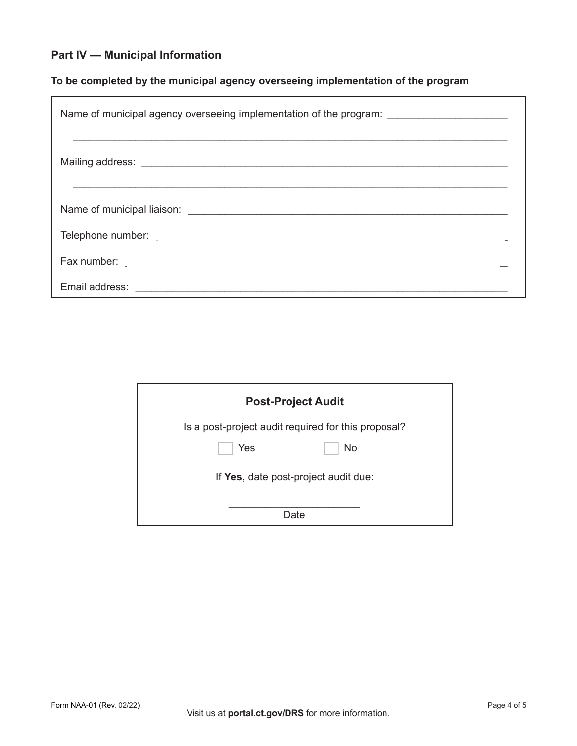## **Part IV — Municipal Information**

## **To be completed by the municipal agency overseeing implementation of the program**

| Name of municipal agency overseeing implementation of the program: ____________________                                   |
|---------------------------------------------------------------------------------------------------------------------------|
|                                                                                                                           |
|                                                                                                                           |
| Telephone number:                                                                                                         |
| Fax number:                                                                                                               |
| Email address: <b>Annual American Community of the Community of the Community of Temperature Community of Temperature</b> |

| <b>Post-Project Audit</b>                           |
|-----------------------------------------------------|
| Is a post-project audit required for this proposal? |
| <b>No</b><br>Yes                                    |
| If Yes, date post-project audit due:                |
| Date                                                |